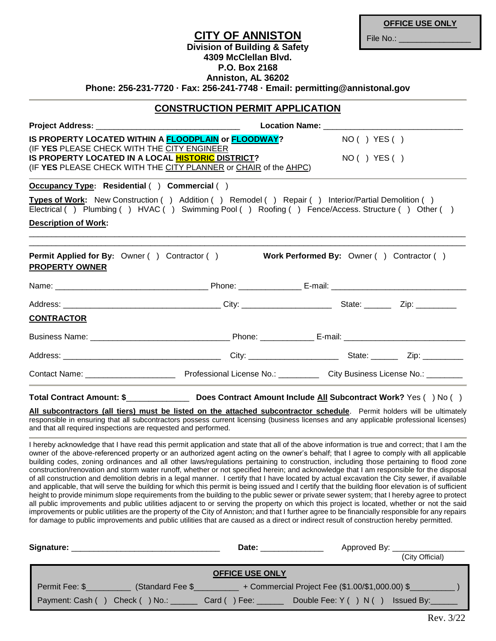|                                                                                                  | <b>CITY OF ANNISTON</b><br><b>Division of Building &amp; Safety</b><br>4309 McClellan Blvd.<br>P.O. Box 2168<br>Anniston, AL 36202<br>Phone: 256-231-7720 · Fax: 256-241-7748 · Email: permitting@annistonal.gov | File No.: ___________________                                                                                                                                                                                                               |
|--------------------------------------------------------------------------------------------------|------------------------------------------------------------------------------------------------------------------------------------------------------------------------------------------------------------------|---------------------------------------------------------------------------------------------------------------------------------------------------------------------------------------------------------------------------------------------|
|                                                                                                  | <b>CONSTRUCTION PERMIT APPLICATION</b>                                                                                                                                                                           |                                                                                                                                                                                                                                             |
|                                                                                                  |                                                                                                                                                                                                                  |                                                                                                                                                                                                                                             |
|                                                                                                  | IS PROPERTY LOCATED WITHIN A FLOODPLAIN or FLOODWAY?                                                                                                                                                             | NO ( ) YES ( )                                                                                                                                                                                                                              |
| (IF YES PLEASE CHECK WITH THE CITY ENGINEER<br>IS PROPERTY LOCATED IN A LOCAL HISTORIC DISTRICT? | (IF YES PLEASE CHECK WITH THE CITY PLANNER or CHAIR of the AHPC)                                                                                                                                                 | $NO( )$ YES()                                                                                                                                                                                                                               |
| Occupancy Type: Residential () Commercial ()                                                     |                                                                                                                                                                                                                  |                                                                                                                                                                                                                                             |
| <b>Description of Work:</b>                                                                      | Types of Work: New Construction () Addition () Remodel () Repair () Interior/Partial Demolition ()                                                                                                               | Electrical () Plumbing () HVAC () Swimming Pool () Roofing () Fence/Access. Structure () Other ()                                                                                                                                           |
| <b>PROPERTY OWNER</b>                                                                            |                                                                                                                                                                                                                  | Permit Applied for By: Owner () Contractor () Work Performed By: Owner () Contractor ()                                                                                                                                                     |
|                                                                                                  |                                                                                                                                                                                                                  |                                                                                                                                                                                                                                             |
|                                                                                                  |                                                                                                                                                                                                                  |                                                                                                                                                                                                                                             |
| <b>CONTRACTOR</b>                                                                                |                                                                                                                                                                                                                  |                                                                                                                                                                                                                                             |
|                                                                                                  |                                                                                                                                                                                                                  |                                                                                                                                                                                                                                             |
|                                                                                                  |                                                                                                                                                                                                                  |                                                                                                                                                                                                                                             |
|                                                                                                  |                                                                                                                                                                                                                  |                                                                                                                                                                                                                                             |
|                                                                                                  |                                                                                                                                                                                                                  | Total Contract Amount: \$________________________Does Contract Amount Include All Subcontract Work? Yes () No ()<br>All subcontractors (all tiers) must be listed on the attached subcontractor schedule. Permit holders will be ultimately |

responsible in ensuring that all subcontractors possess current licensing (business licenses and any applicable professional licenses) and that all required inspections are requested and performed.

I hereby acknowledge that I have read this permit application and state that all of the above information is true and correct; that I am the owner of the above-referenced property or an authorized agent acting on the owner's behalf; that I agree to comply with all applicable building codes, zoning ordinances and all other laws/regulations pertaining to construction, including those pertaining to flood zone construction/renovation and storm water runoff, whether or not specified herein; and acknowledge that I am responsible for the disposal of all construction and demolition debris in a legal manner. I certify that I have located by actual excavation the City sewer, if available and applicable, that will serve the building for which this permit is being issued and I certify that the building floor elevation is of sufficient height to provide minimum slope requirements from the building to the public sewer or private sewer system; that I hereby agree to protect all public improvements and public utilities adjacent to or serving the property on which this project is located, whether or not the said improvements or public utilities are the property of the City of Anniston; and that I further agree to be financially responsible for any repairs for damage to public improvements and public utilities that are caused as a direct or indirect result of construction hereby permitted.

| Signature:<br>Date: ______________          | Approved By: ________________                   |
|---------------------------------------------|-------------------------------------------------|
|                                             | (City Official)                                 |
| <b>OFFICE USE ONLY</b>                      |                                                 |
| Permit Fee: \$<br>(Standard Fee \$          | + Commercial Project Fee (\$1.00/\$1,000.00) \$ |
| Payment: Cash () Check () No.: Card () Fee: | Double Fee: Y () N () Issued By:                |

**OFFICE USE ONLY**